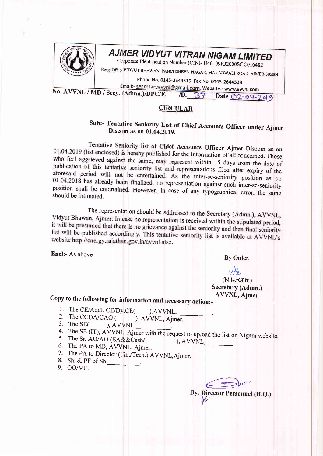

# **AJMER VIDYUT VITRAN NIGAM LIMITED**

Ccrporate Identification Number (CIN)- U40109RJ2000SGC016482

Resg. Off.:- VIDYUT BHAWAN, PANCHSHEEL NAGAR, MAKADWALI ROAD, AJMER-305004

Phone No. 0145-2644519 Fax No. 0145-2644518

Email:- secretaryavvnl@gmail.com, Website:- www.avvnl.com No. AVVNL / MD / Secy. (Admn.)/DPC/F.

## 1D. 37 Date 02-04-2019

#### **CIRCULAR**

### Sub:- Tentative Seniority List of Chief Accounts Officer under Ajmer Discom as on 01.04.2019.

Tentative Seniority list of Chief Accounts Officer Ajmer Discom as on 01.04.2019 (list enclosed) is hereby published for the information of all concerned. Those who feel aggrieved against the same, may represent within 15 days from the date of publication of this tentative seniority list and representations filed after expiry of the aforesaid period will not be entertained. As the inter-se-seniority position as on 01.04.2018 has already been finalized, no representation against such inter-se-seniority position shall be entertained. However, in case of any typographical error, the same should be intimated.

The representation should be addressed to the Secretary (Admn.), AVVNL, Vidyut Bhawan, Ajmer. In case no representation is received within the stipulated period, it will be presumed that there is no grievance against the seniority and then final seniority list will be published accordingly. This tentative seniority list is available at AVVNL's website http://energy.rajathan.gov.in/avvnl also.

Encl:- As above

By Order.

(N.L.Rathi) Secretary (Admn.) **AVVNL**, Ajmer

Copy to the following for information and necessary action:-

- 1. The CE/Addl. CE/Dy.CE( ).AVVNL,
- 2. The CCOA/CAO ( ), AVVNL, Aimer.
- 3. The SE $\epsilon$ ), AVVNL,
- 4. The SE (IT), AVVNL, Ajmer with the request to upload the list on Nigam website.
- 5. The Sr. AO/AO (EA&&Cash/ ), AVVNL
- 6. The PA to MD, AVVNL, Ajmer.
- 7. The PA to Director (Fin./Tech.), AVVNL, Ajmer.
- 8. Sh. & PF of Sh.
- 9. OO/MF.

Dy. Director Personnel (H.Q.)